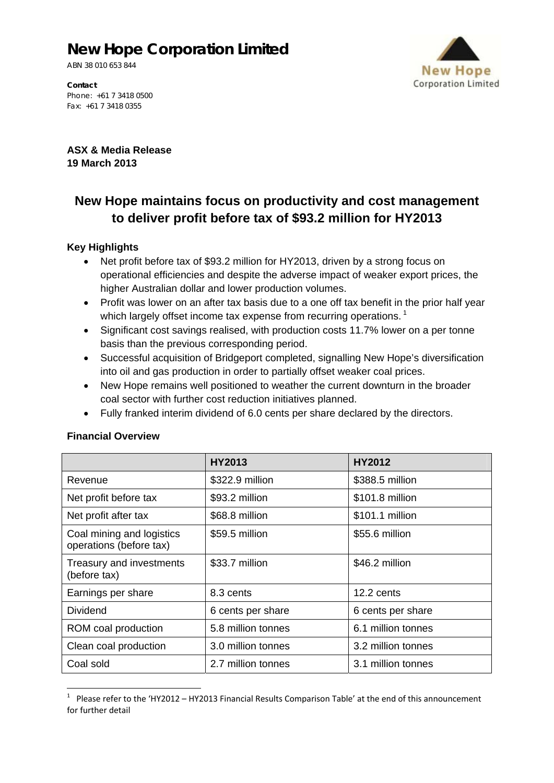# **New Hope Corporation Limited**

ABN 38 010 653 844



**Contact**  Phone: +61 7 3418 0500 Fax: +61 7 3418 0355

**ASX & Media Release 19 March 2013** 

## **New Hope maintains focus on productivity and cost management to deliver profit before tax of \$93.2 million for HY2013**

### **Key Highlights**

- Net profit before tax of \$93.2 million for HY2013, driven by a strong focus on operational efficiencies and despite the adverse impact of weaker export prices, the higher Australian dollar and lower production volumes.
- Profit was lower on an after tax basis due to a one off tax benefit in the prior half year which largely offset income tax expense from recurring operations.<sup>1</sup>
- Significant cost savings realised, with production costs 11.7% lower on a per tonne basis than the previous corresponding period.
- Successful acquisition of Bridgeport completed, signalling New Hope's diversification into oil and gas production in order to partially offset weaker coal prices.
- New Hope remains well positioned to weather the current downturn in the broader coal sector with further cost reduction initiatives planned.
- Fully franked interim dividend of 6.0 cents per share declared by the directors.

|                                                      | HY2013             | <b>HY2012</b>      |
|------------------------------------------------------|--------------------|--------------------|
| Revenue                                              | \$322.9 million    | \$388.5 million    |
| Net profit before tax                                | \$93.2 million     | \$101.8 million    |
| Net profit after tax                                 | \$68.8 million     | \$101.1 million    |
| Coal mining and logistics<br>operations (before tax) | \$59.5 million     | \$55.6 million     |
| Treasury and investments<br>(before tax)             | \$33.7 million     | \$46.2 million     |
| Earnings per share                                   | 8.3 cents          | 12.2 cents         |
| <b>Dividend</b>                                      | 6 cents per share  | 6 cents per share  |
| ROM coal production                                  | 5.8 million tonnes | 6.1 million tonnes |
| Clean coal production                                | 3.0 million tonnes | 3.2 million tonnes |
| Coal sold                                            | 2.7 million tonnes | 3.1 million tonnes |

#### **Financial Overview**

 1 Please refer to the 'HY2012 – HY2013 Financial Results Comparison Table' at the end of this announcement for further detail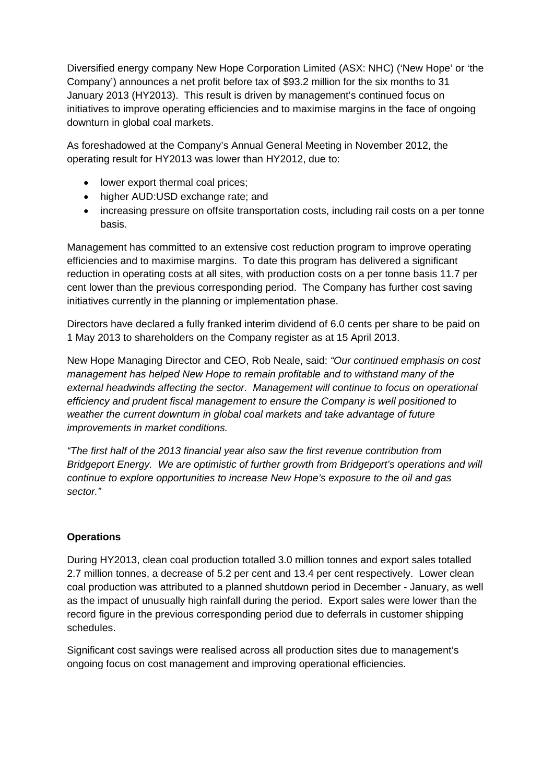Diversified energy company New Hope Corporation Limited (ASX: NHC) ('New Hope' or 'the Company') announces a net profit before tax of \$93.2 million for the six months to 31 January 2013 (HY2013). This result is driven by management's continued focus on initiatives to improve operating efficiencies and to maximise margins in the face of ongoing downturn in global coal markets.

As foreshadowed at the Company's Annual General Meeting in November 2012, the operating result for HY2013 was lower than HY2012, due to:

- lower export thermal coal prices;
- higher AUD:USD exchange rate; and
- increasing pressure on offsite transportation costs, including rail costs on a per tonne basis.

Management has committed to an extensive cost reduction program to improve operating efficiencies and to maximise margins. To date this program has delivered a significant reduction in operating costs at all sites, with production costs on a per tonne basis 11.7 per cent lower than the previous corresponding period. The Company has further cost saving initiatives currently in the planning or implementation phase.

Directors have declared a fully franked interim dividend of 6.0 cents per share to be paid on 1 May 2013 to shareholders on the Company register as at 15 April 2013.

New Hope Managing Director and CEO, Rob Neale, said: *"Our continued emphasis on cost management has helped New Hope to remain profitable and to withstand many of the external headwinds affecting the sector. Management will continue to focus on operational efficiency and prudent fiscal management to ensure the Company is well positioned to*  weather the current downturn in global coal markets and take advantage of future *improvements in market conditions.* 

*"The first half of the 2013 financial year also saw the first revenue contribution from Bridgeport Energy. We are optimistic of further growth from Bridgeport's operations and will continue to explore opportunities to increase New Hope's exposure to the oil and gas sector."* 

## **Operations**

During HY2013, clean coal production totalled 3.0 million tonnes and export sales totalled 2.7 million tonnes, a decrease of 5.2 per cent and 13.4 per cent respectively. Lower clean coal production was attributed to a planned shutdown period in December - January, as well as the impact of unusually high rainfall during the period. Export sales were lower than the record figure in the previous corresponding period due to deferrals in customer shipping schedules.

Significant cost savings were realised across all production sites due to management's ongoing focus on cost management and improving operational efficiencies.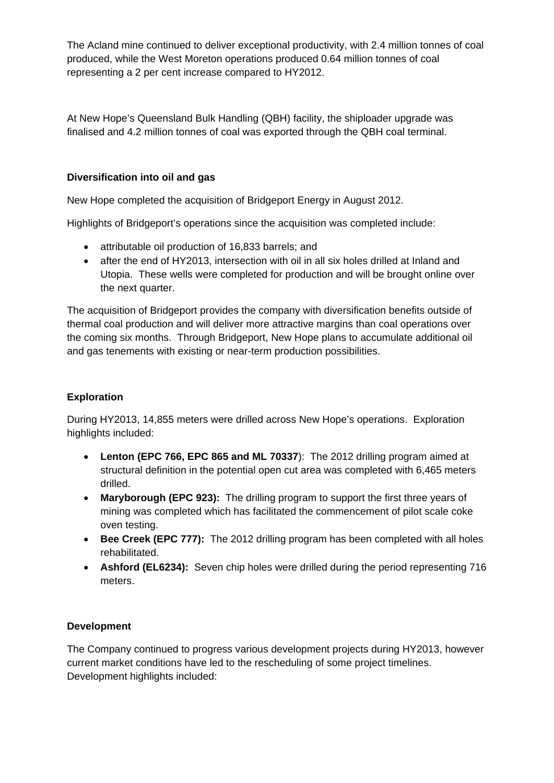The Acland mine continued to deliver exceptional productivity, with 2.4 million tonnes of coal produced, while the West Moreton operations produced 0.64 million tonnes of coal representing a 2 per cent increase compared to HY2012.

At New Hope's Queensland Bulk Handling (QBH) facility, the shiploader upgrade was finalised and 4.2 million tonnes of coal was exported through the QBH coal terminal.

## **Diversification into oil and gas**

New Hope completed the acquisition of Bridgeport Energy in August 2012.

Highlights of Bridgeport's operations since the acquisition was completed include:

- attributable oil production of 16,833 barrels; and
- after the end of HY2013, intersection with oil in all six holes drilled at Inland and Utopia. These wells were completed for production and will be brought online over the next quarter.

The acquisition of Bridgeport provides the company with diversification benefits outside of thermal coal production and will deliver more attractive margins than coal operations over the coming six months. Through Bridgeport, New Hope plans to accumulate additional oil and gas tenements with existing or near-term production possibilities.

## **Exploration**

During HY2013, 14,855 meters were drilled across New Hope's operations. Exploration highlights included:

- **Lenton (EPC 766, EPC 865 and ML 70337**): The 2012 drilling program aimed at structural definition in the potential open cut area was completed with 6,465 meters drilled.
- **Maryborough (EPC 923):** The drilling program to support the first three years of mining was completed which has facilitated the commencement of pilot scale coke oven testing.
- **Bee Creek (EPC 777):** The 2012 drilling program has been completed with all holes rehabilitated.
- **Ashford (EL6234):** Seven chip holes were drilled during the period representing 716 meters.

## **Development**

The Company continued to progress various development projects during HY2013, however current market conditions have led to the rescheduling of some project timelines. Development highlights included: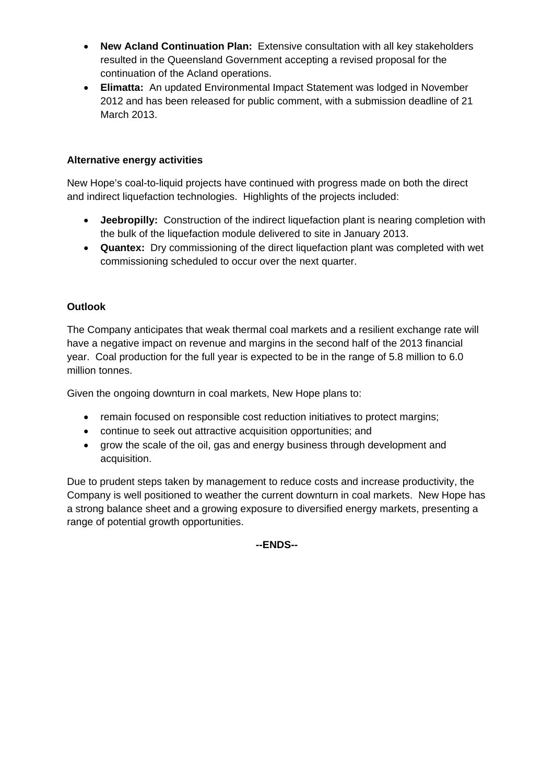- **New Acland Continuation Plan:** Extensive consultation with all key stakeholders resulted in the Queensland Government accepting a revised proposal for the continuation of the Acland operations.
- **Elimatta:** An updated Environmental Impact Statement was lodged in November 2012 and has been released for public comment, with a submission deadline of 21 March 2013.

## **Alternative energy activities**

New Hope's coal-to-liquid projects have continued with progress made on both the direct and indirect liquefaction technologies. Highlights of the projects included:

- **Jeebropilly:** Construction of the indirect liquefaction plant is nearing completion with the bulk of the liquefaction module delivered to site in January 2013.
- **Quantex:** Dry commissioning of the direct liquefaction plant was completed with wet commissioning scheduled to occur over the next quarter.

## **Outlook**

The Company anticipates that weak thermal coal markets and a resilient exchange rate will have a negative impact on revenue and margins in the second half of the 2013 financial year. Coal production for the full year is expected to be in the range of 5.8 million to 6.0 million tonnes.

Given the ongoing downturn in coal markets, New Hope plans to:

- remain focused on responsible cost reduction initiatives to protect margins;
- continue to seek out attractive acquisition opportunities; and
- grow the scale of the oil, gas and energy business through development and acquisition.

Due to prudent steps taken by management to reduce costs and increase productivity, the Company is well positioned to weather the current downturn in coal markets. New Hope has a strong balance sheet and a growing exposure to diversified energy markets, presenting a range of potential growth opportunities.

**--ENDS--**